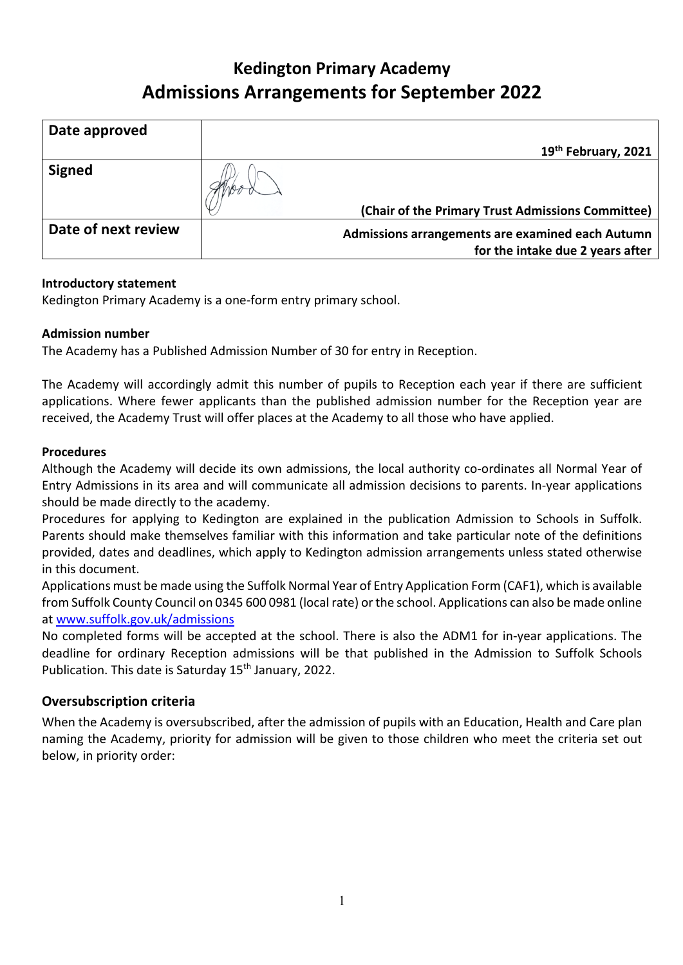# **Kedington Primary Academy Admissions Arrangements for September 2022**

| Date approved       |                                                                                      |
|---------------------|--------------------------------------------------------------------------------------|
|                     | 19 <sup>th</sup> February, 2021                                                      |
| <b>Signed</b>       |                                                                                      |
|                     | (Chair of the Primary Trust Admissions Committee)                                    |
| Date of next review | Admissions arrangements are examined each Autumn<br>for the intake due 2 years after |

# **Introductory statement**

Kedington Primary Academy is a one-form entry primary school.

# **Admission number**

The Academy has a Published Admission Number of 30 for entry in Reception.

The Academy will accordingly admit this number of pupils to Reception each year if there are sufficient applications. Where fewer applicants than the published admission number for the Reception year are received, the Academy Trust will offer places at the Academy to all those who have applied.

## **Procedures**

Although the Academy will decide its own admissions, the local authority co-ordinates all Normal Year of Entry Admissions in its area and will communicate all admission decisions to parents. In-year applications should be made directly to the academy.

Procedures for applying to Kedington are explained in the publication Admission to Schools in Suffolk. Parents should make themselves familiar with this information and take particular note of the definitions provided, dates and deadlines, which apply to Kedington admission arrangements unless stated otherwise in this document.

Applications must be made using the Suffolk Normal Year of Entry Application Form (CAF1), which is available from Suffolk County Council on 0345 600 0981 (local rate) or the school. Applications can also be made online at www.suffolk.gov.uk/admissions

No completed forms will be accepted at the school. There is also the ADM1 for in-year applications. The deadline for ordinary Reception admissions will be that published in the Admission to Suffolk Schools Publication. This date is Saturday 15<sup>th</sup> January, 2022.

# **Oversubscription criteria**

When the Academy is oversubscribed, after the admission of pupils with an Education, Health and Care plan naming the Academy, priority for admission will be given to those children who meet the criteria set out below, in priority order: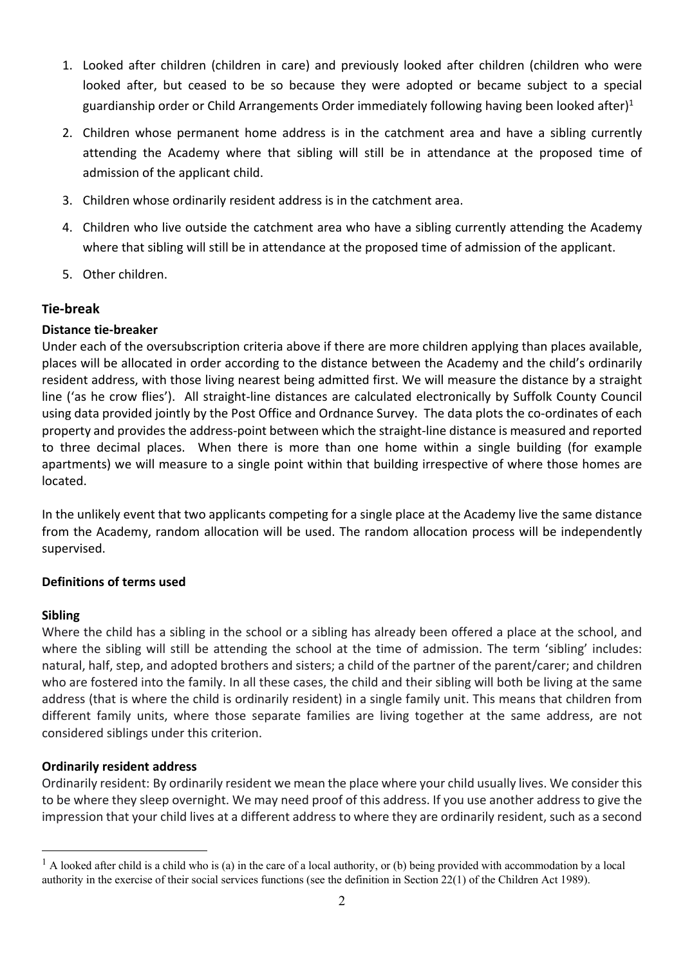- 1. Looked after children (children in care) and previously looked after children (children who were looked after, but ceased to be so because they were adopted or became subject to a special guardianship order or Child Arrangements Order immediately following having been looked after)<sup>1</sup>
- 2. Children whose permanent home address is in the catchment area and have a sibling currently attending the Academy where that sibling will still be in attendance at the proposed time of admission of the applicant child.
- 3. Children whose ordinarily resident address is in the catchment area.
- 4. Children who live outside the catchment area who have a sibling currently attending the Academy where that sibling will still be in attendance at the proposed time of admission of the applicant.
- 5. Other children.

# **Tie-break**

## **Distance tie-breaker**

Under each of the oversubscription criteria above if there are more children applying than places available, places will be allocated in order according to the distance between the Academy and the child's ordinarily resident address, with those living nearest being admitted first. We will measure the distance by a straight line ('as he crow flies'). All straight-line distances are calculated electronically by Suffolk County Council using data provided jointly by the Post Office and Ordnance Survey. The data plots the co-ordinates of each property and provides the address-point between which the straight-line distance is measured and reported to three decimal places. When there is more than one home within a single building (for example apartments) we will measure to a single point within that building irrespective of where those homes are located.

In the unlikely event that two applicants competing for a single place at the Academy live the same distance from the Academy, random allocation will be used. The random allocation process will be independently supervised.

## **Definitions of terms used**

#### **Sibling**

Where the child has a sibling in the school or a sibling has already been offered a place at the school, and where the sibling will still be attending the school at the time of admission. The term 'sibling' includes: natural, half, step, and adopted brothers and sisters; a child of the partner of the parent/carer; and children who are fostered into the family. In all these cases, the child and their sibling will both be living at the same address (that is where the child is ordinarily resident) in a single family unit. This means that children from different family units, where those separate families are living together at the same address, are not considered siblings under this criterion.

## **Ordinarily resident address**

Ordinarily resident: By ordinarily resident we mean the place where your child usually lives. We consider this to be where they sleep overnight. We may need proof of this address. If you use another address to give the impression that your child lives at a different address to where they are ordinarily resident, such as a second

 $<sup>1</sup>$  A looked after child is a child who is (a) in the care of a local authority, or (b) being provided with accommodation by a local</sup> authority in the exercise of their social services functions (see the definition in Section 22(1) of the Children Act 1989).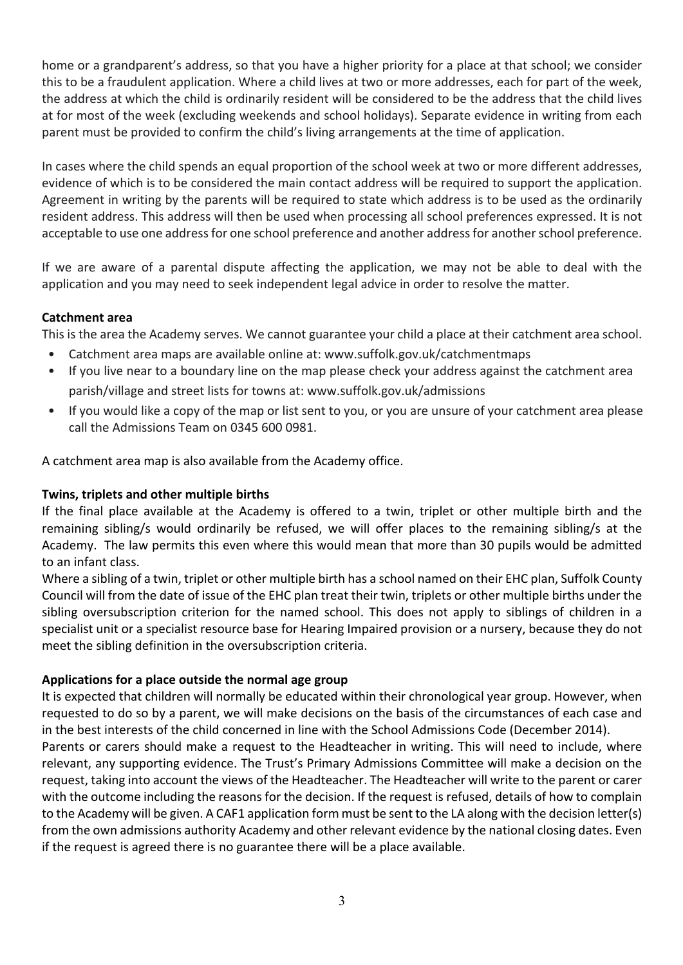home or a grandparent's address, so that you have a higher priority for a place at that school; we consider this to be a fraudulent application. Where a child lives at two or more addresses, each for part of the week, the address at which the child is ordinarily resident will be considered to be the address that the child lives at for most of the week (excluding weekends and school holidays). Separate evidence in writing from each parent must be provided to confirm the child's living arrangements at the time of application.

In cases where the child spends an equal proportion of the school week at two or more different addresses, evidence of which is to be considered the main contact address will be required to support the application. Agreement in writing by the parents will be required to state which address is to be used as the ordinarily resident address. This address will then be used when processing all school preferences expressed. It is not acceptable to use one address for one school preference and another address for another school preference.

If we are aware of a parental dispute affecting the application, we may not be able to deal with the application and you may need to seek independent legal advice in order to resolve the matter.

# **Catchment area**

This is the area the Academy serves. We cannot guarantee your child a place at their catchment area school.

- Catchment area maps are available online at: www.suffolk.gov.uk/catchmentmaps
- If you live near to a boundary line on the map please check your address against the catchment area parish/village and street lists for towns at: www.suffolk.gov.uk/admissions
- If you would like a copy of the map or list sent to you, or you are unsure of your catchment area please call the Admissions Team on 0345 600 0981.

A catchment area map is also available from the Academy office.

## **Twins, triplets and other multiple births**

If the final place available at the Academy is offered to a twin, triplet or other multiple birth and the remaining sibling/s would ordinarily be refused, we will offer places to the remaining sibling/s at the Academy. The law permits this even where this would mean that more than 30 pupils would be admitted to an infant class.

Where a sibling of a twin, triplet or other multiple birth has a school named on their EHC plan, Suffolk County Council will from the date of issue of the EHC plan treat their twin, triplets or other multiple births under the sibling oversubscription criterion for the named school. This does not apply to siblings of children in a specialist unit or a specialist resource base for Hearing Impaired provision or a nursery, because they do not meet the sibling definition in the oversubscription criteria.

## **Applications for a place outside the normal age group**

It is expected that children will normally be educated within their chronological year group. However, when requested to do so by a parent, we will make decisions on the basis of the circumstances of each case and in the best interests of the child concerned in line with the School Admissions Code (December 2014).

Parents or carers should make a request to the Headteacher in writing. This will need to include, where relevant, any supporting evidence. The Trust's Primary Admissions Committee will make a decision on the request, taking into account the views of the Headteacher. The Headteacher will write to the parent or carer with the outcome including the reasons for the decision. If the request is refused, details of how to complain to the Academy will be given. A CAF1 application form must be sent to the LA along with the decision letter(s) from the own admissions authority Academy and other relevant evidence by the national closing dates. Even if the request is agreed there is no guarantee there will be a place available.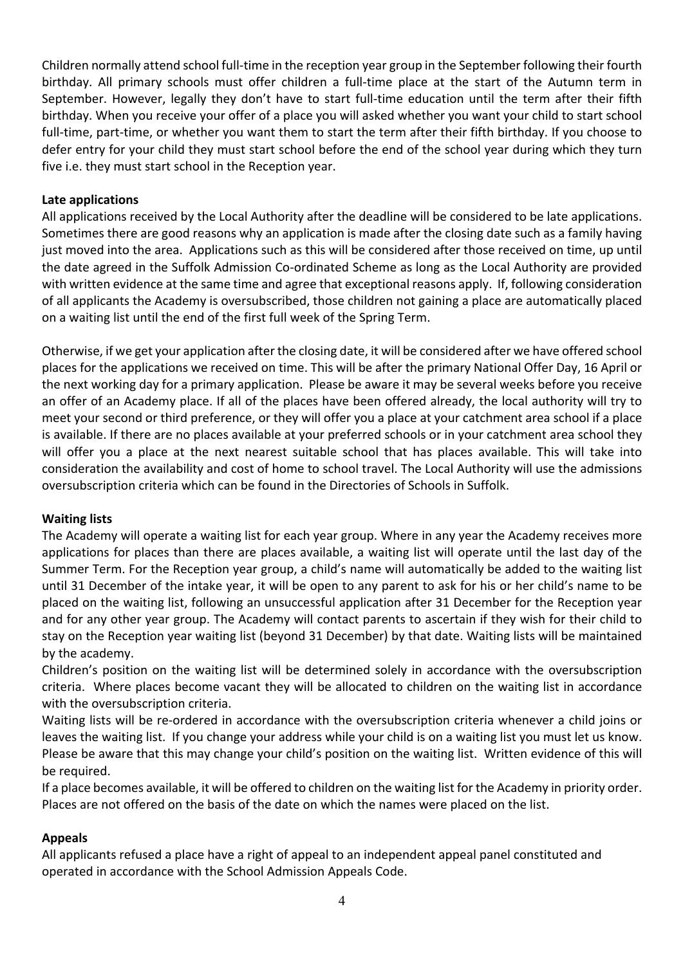Children normally attend school full-time in the reception year group in the September following their fourth birthday. All primary schools must offer children a full-time place at the start of the Autumn term in September. However, legally they don't have to start full-time education until the term after their fifth birthday. When you receive your offer of a place you will asked whether you want your child to start school full-time, part-time, or whether you want them to start the term after their fifth birthday. If you choose to defer entry for your child they must start school before the end of the school year during which they turn five i.e. they must start school in the Reception year.

### **Late applications**

All applications received by the Local Authority after the deadline will be considered to be late applications. Sometimes there are good reasons why an application is made after the closing date such as a family having just moved into the area. Applications such as this will be considered after those received on time, up until the date agreed in the Suffolk Admission Co-ordinated Scheme as long as the Local Authority are provided with written evidence at the same time and agree that exceptional reasons apply. If, following consideration of all applicants the Academy is oversubscribed, those children not gaining a place are automatically placed on a waiting list until the end of the first full week of the Spring Term.

Otherwise, if we get your application after the closing date, it will be considered after we have offered school places for the applications we received on time. This will be after the primary National Offer Day, 16 April or the next working day for a primary application. Please be aware it may be several weeks before you receive an offer of an Academy place. If all of the places have been offered already, the local authority will try to meet your second or third preference, or they will offer you a place at your catchment area school if a place is available. If there are no places available at your preferred schools or in your catchment area school they will offer you a place at the next nearest suitable school that has places available. This will take into consideration the availability and cost of home to school travel. The Local Authority will use the admissions oversubscription criteria which can be found in the Directories of Schools in Suffolk.

#### **Waiting lists**

The Academy will operate a waiting list for each year group. Where in any year the Academy receives more applications for places than there are places available, a waiting list will operate until the last day of the Summer Term. For the Reception year group, a child's name will automatically be added to the waiting list until 31 December of the intake year, it will be open to any parent to ask for his or her child's name to be placed on the waiting list, following an unsuccessful application after 31 December for the Reception year and for any other year group. The Academy will contact parents to ascertain if they wish for their child to stay on the Reception year waiting list (beyond 31 December) by that date. Waiting lists will be maintained by the academy.

Children's position on the waiting list will be determined solely in accordance with the oversubscription criteria. Where places become vacant they will be allocated to children on the waiting list in accordance with the oversubscription criteria.

Waiting lists will be re-ordered in accordance with the oversubscription criteria whenever a child joins or leaves the waiting list. If you change your address while your child is on a waiting list you must let us know. Please be aware that this may change your child's position on the waiting list. Written evidence of this will be required.

If a place becomes available, it will be offered to children on the waiting list for the Academy in priority order. Places are not offered on the basis of the date on which the names were placed on the list.

## **Appeals**

All applicants refused a place have a right of appeal to an independent appeal panel constituted and operated in accordance with the School Admission Appeals Code.